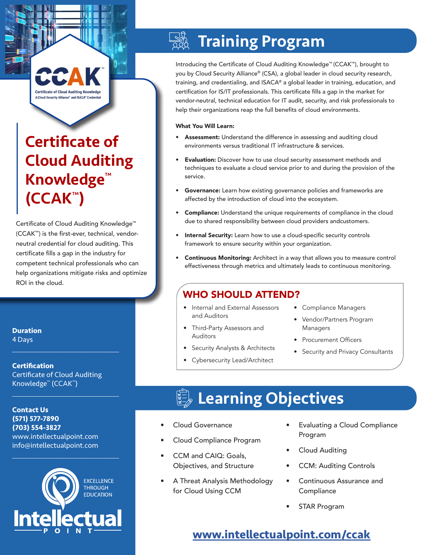## **Certificate of Cloud Auditing Knowledge** A Cloud Security Alliance<sup>®</sup> and ISACA<sup>®</sup> Credential

# Certificate of Cloud Auditing Knowledge™ (CCAK™)

Certificate of Cloud Auditing Knowledge™ (CCAK™) is the first-ever, technical, vendorneutral credential for cloud auditing. This certificate fills a gap in the industry for competent technical professionals who can help organizations mitigate risks and optimize ROI in the cloud.

**Duration** 4 Days

**Certification** Certificate of Cloud Auditing Knowledge™ (CCAK™)

 $\mathcal{L}_\text{max}$  and  $\mathcal{L}_\text{max}$  and  $\mathcal{L}_\text{max}$  and  $\mathcal{L}_\text{max}$ 

 $\mathcal{L}_\text{max}$  and  $\mathcal{L}_\text{max}$  and  $\mathcal{L}_\text{max}$  and  $\mathcal{L}_\text{max}$ 

**Contact Us (571) 577-7890 (703) 554-3827** www.intellectualpoint.com info@intellectualpoint.com  $\mathcal{L}_\text{max}$  and  $\mathcal{L}_\text{max}$  and  $\mathcal{L}_\text{max}$  and  $\mathcal{L}_\text{max}$ 



### $\frac{1}{2}$ Training Program

Introducing the Certificate of Cloud Auditing Knowledge™ (CCAK™), brought to you by Cloud Security Alliance® (CSA), a global leader in cloud security research, training, and credentialing, and ISACA® a global leader in training, education, and certification for IS/IT professionals. This certificate fills a gap in the market for vendor-neutral, technical education for IT audit, security, and risk professionals to help their organizations reap the full benefits of cloud environments.

### What You Will Learn:

- Assessment: Understand the difference in assessing and auditing cloud environments versus traditional IT infrastructure & services.
- Evaluation: Discover how to use cloud security assessment methods and techniques to evaluate a cloud service prior to and during the provision of the service.
- Governance: Learn how existing governance policies and frameworks are affected by the introduction of cloud into the ecosystem.
- Compliance: Understand the unique requirements of compliance in the cloud due to shared responsibility between cloud providers andcustomers.
- Internal Security: Learn how to use a cloud-specific security controls framework to ensure security within your organization.
- Continuous Monitoring: Architect in a way that allows you to measure control effectiveness through metrics and ultimately leads to continuous monitoring.

### WHO SHOULD ATTEND?

- Internal and External Assessors and Auditors
- Third-Party Assessors and Auditors
- Security Analysts & Architects • Cybersecurity Lead/Architect
- Compliance Managers
- Vendor/Partners Program Managers
- Procurement Officers
- Security and Privacy Consultants

# **Learning Objectives**

- Cloud Governance
- Cloud Compliance Program
- CCM and CAIQ: Goals, Objectives, and Structure
- A Threat Analysis Methodology for Cloud Using CCM
- Evaluating a Cloud Compliance Program
- Cloud Auditing
- CCM: Auditing Controls
- Continuous Assurance and **Compliance**
- **STAR Program**

## **[www.intellectualpoint.com/c](https://intellectualpoint.com/product/certificate-of-cloud-auditing-knowlege-ccak/)cak**